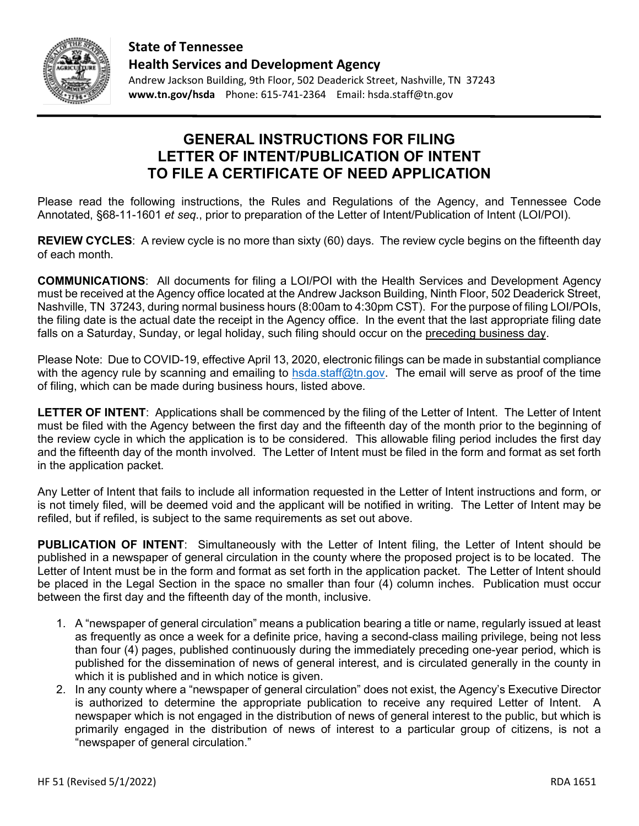

**State of Tennessee Health Services and Development Agency**

Andrew Jackson Building, 9th Floor, 502 Deaderick Street, Nashville, TN 37243 **www.tn.gov/hsda** Phone: 615-741-2364 Email: hsda.staff@tn.gov

#### **GENERAL INSTRUCTIONS FOR FILING LETTER OF INTENT/PUBLICATION OF INTENT TO FILE A CERTIFICATE OF NEED APPLICATION**

Please read the following instructions, the Rules and Regulations of the Agency, and Tennessee Code Annotated, §68-11-1601 *et seq*., prior to preparation of the Letter of Intent/Publication of Intent (LOI/POI).

**REVIEW CYCLES**: A review cycle is no more than sixty (60) days. The review cycle begins on the fifteenth day of each month.

**COMMUNICATIONS**: All documents for filing a LOI/POI with the Health Services and Development Agency must be received at the Agency office located at the Andrew Jackson Building, Ninth Floor, 502 Deaderick Street, Nashville, TN 37243, during normal business hours (8:00am to 4:30pm CST). For the purpose of filing LOI/POIs, the filing date is the actual date the receipt in the Agency office. In the event that the last appropriate filing date falls on a Saturday, Sunday, or legal holiday, such filing should occur on the preceding business day.

Please Note: Due to COVID-19, effective April 13, 2020, electronic filings can be made in substantial compliance with the agency rule by scanning and emailing to [hsda.staff@tn.gov.](mailto:hsda.staff@tn.gov) The email will serve as proof of the time of filing, which can be made during business hours, listed above.

**LETTER OF INTENT**: Applications shall be commenced by the filing of the Letter of Intent. The Letter of Intent must be filed with the Agency between the first day and the fifteenth day of the month prior to the beginning of the review cycle in which the application is to be considered. This allowable filing period includes the first day and the fifteenth day of the month involved. The Letter of Intent must be filed in the form and format as set forth in the application packet.

Any Letter of Intent that fails to include all information requested in the Letter of Intent instructions and form, or is not timely filed, will be deemed void and the applicant will be notified in writing. The Letter of Intent may be refiled, but if refiled, is subject to the same requirements as set out above.

**PUBLICATION OF INTENT**: Simultaneously with the Letter of Intent filing, the Letter of Intent should be published in a newspaper of general circulation in the county where the proposed project is to be located. The Letter of Intent must be in the form and format as set forth in the application packet. The Letter of Intent should be placed in the Legal Section in the space no smaller than four (4) column inches. Publication must occur between the first day and the fifteenth day of the month, inclusive.

- 1. A "newspaper of general circulation" means a publication bearing a title or name, regularly issued at least as frequently as once a week for a definite price, having a second-class mailing privilege, being not less than four (4) pages, published continuously during the immediately preceding one-year period, which is published for the dissemination of news of general interest, and is circulated generally in the county in which it is published and in which notice is given.
- 2. In any county where a "newspaper of general circulation" does not exist, the Agency's Executive Director is authorized to determine the appropriate publication to receive any required Letter of Intent. A newspaper which is not engaged in the distribution of news of general interest to the public, but which is primarily engaged in the distribution of news of interest to a particular group of citizens, is not a "newspaper of general circulation."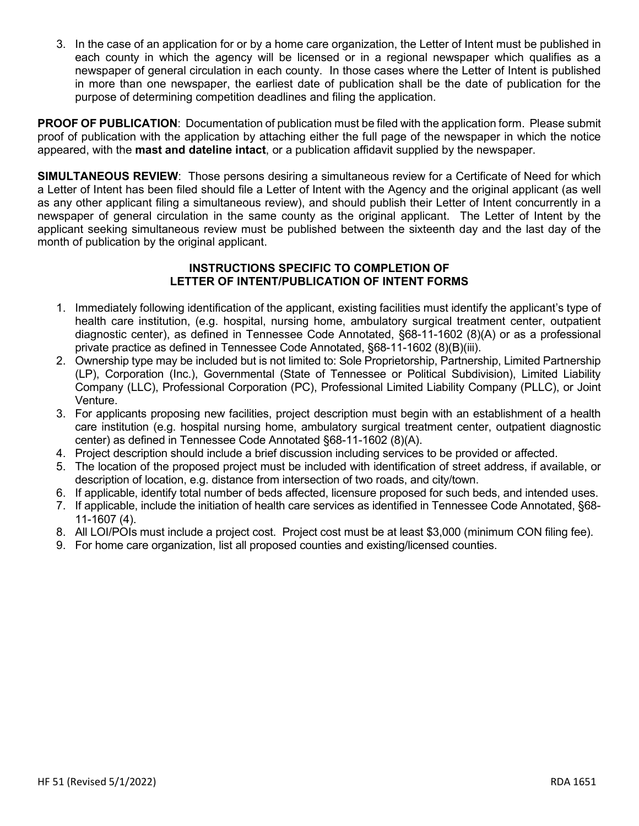3. In the case of an application for or by a home care organization, the Letter of Intent must be published in each county in which the agency will be licensed or in a regional newspaper which qualifies as a newspaper of general circulation in each county. In those cases where the Letter of Intent is published in more than one newspaper, the earliest date of publication shall be the date of publication for the purpose of determining competition deadlines and filing the application.

**PROOF OF PUBLICATION**: Documentation of publication must be filed with the application form. Please submit proof of publication with the application by attaching either the full page of the newspaper in which the notice appeared, with the **mast and dateline intact**, or a publication affidavit supplied by the newspaper.

**SIMULTANEOUS REVIEW**: Those persons desiring a simultaneous review for a Certificate of Need for which a Letter of Intent has been filed should file a Letter of Intent with the Agency and the original applicant (as well as any other applicant filing a simultaneous review), and should publish their Letter of Intent concurrently in a newspaper of general circulation in the same county as the original applicant. The Letter of Intent by the applicant seeking simultaneous review must be published between the sixteenth day and the last day of the month of publication by the original applicant.

#### **INSTRUCTIONS SPECIFIC TO COMPLETION OF LETTER OF INTENT/PUBLICATION OF INTENT FORMS**

- 1. Immediately following identification of the applicant, existing facilities must identify the applicant's type of health care institution, (e.g. hospital, nursing home, ambulatory surgical treatment center, outpatient diagnostic center), as defined in Tennessee Code Annotated, §68-11-1602 (8)(A) or as a professional private practice as defined in Tennessee Code Annotated, §68-11-1602 (8)(B)(iii).
- 2. Ownership type may be included but is not limited to: Sole Proprietorship, Partnership, Limited Partnership (LP), Corporation (Inc.), Governmental (State of Tennessee or Political Subdivision), Limited Liability Company (LLC), Professional Corporation (PC), Professional Limited Liability Company (PLLC), or Joint Venture.
- 3. For applicants proposing new facilities, project description must begin with an establishment of a health care institution (e.g. hospital nursing home, ambulatory surgical treatment center, outpatient diagnostic center) as defined in Tennessee Code Annotated §68-11-1602 (8)(A).
- 4. Project description should include a brief discussion including services to be provided or affected.
- 5. The location of the proposed project must be included with identification of street address, if available, or description of location, e.g. distance from intersection of two roads, and city/town.
- 6. If applicable, identify total number of beds affected, licensure proposed for such beds, and intended uses.
- 7. If applicable, include the initiation of health care services as identified in Tennessee Code Annotated, §68- 11-1607 (4).
- 8. All LOI/POIs must include a project cost. Project cost must be at least \$3,000 (minimum CON filing fee).
- 9. For home care organization, list all proposed counties and existing/licensed counties.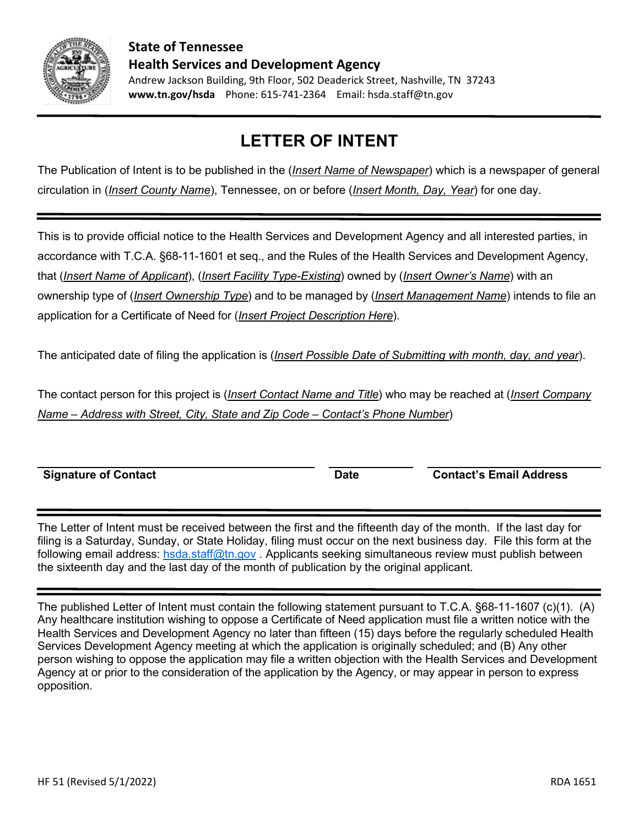

**www.tn.gov/hsda** Phone: 615-741-2364 Email: hsda.staff@tn.gov

# **LETTER OF INTENT**

The Publication of Intent is to be published in the (*Insert Name of Newspaper*) which is a newspaper of general circulation in (*Insert County Name*), Tennessee, on or before (*Insert Month, Day, Year*) for one day.

This is to provide official notice to the Health Services and Development Agency and all interested parties, in accordance with T.C.A. §68-11-1601 et seq., and the Rules of the Health Services and Development Agency, that (*Insert Name of Applicant*), (*Insert Facility Type-Existing*) owned by (*Insert Owner's Name*) with an ownership type of (*Insert Ownership Type*) and to be managed by (*Insert Management Name*) intends to file an application for a Certificate of Need for (*Insert Project Description Here*).

The anticipated date of filing the application is (*Insert Possible Date of Submitting with month, day, and year*).

The contact person for this project is (*Insert Contact Name and Title*) who may be reached at (*Insert Company Name – Address with Street, City, State and Zip Code – Contact's Phone Number*)

The Letter of Intent must be received between the first and the fifteenth day of the month. If the last day for filing is a Saturday, Sunday, or State Holiday, filing must occur on the next business day. File this form at the following email address: [hsda.staff@tn.gov](mailto:hsda.staff@tn.gov) . Applicants seeking simultaneous review must publish between the sixteenth day and the last day of the month of publication by the original applicant.

The published Letter of Intent must contain the following statement pursuant to T.C.A. §68-11-1607 (c)(1). (A) Any healthcare institution wishing to oppose a Certificate of Need application must file a written notice with the Health Services and Development Agency no later than fifteen (15) days before the regularly scheduled Health Services Development Agency meeting at which the application is originally scheduled; and (B) Any other person wishing to oppose the application may file a written objection with the Health Services and Development Agency at or prior to the consideration of the application by the Agency, or may appear in person to express opposition.

**Signature of Contact Date Contact's Email Address**